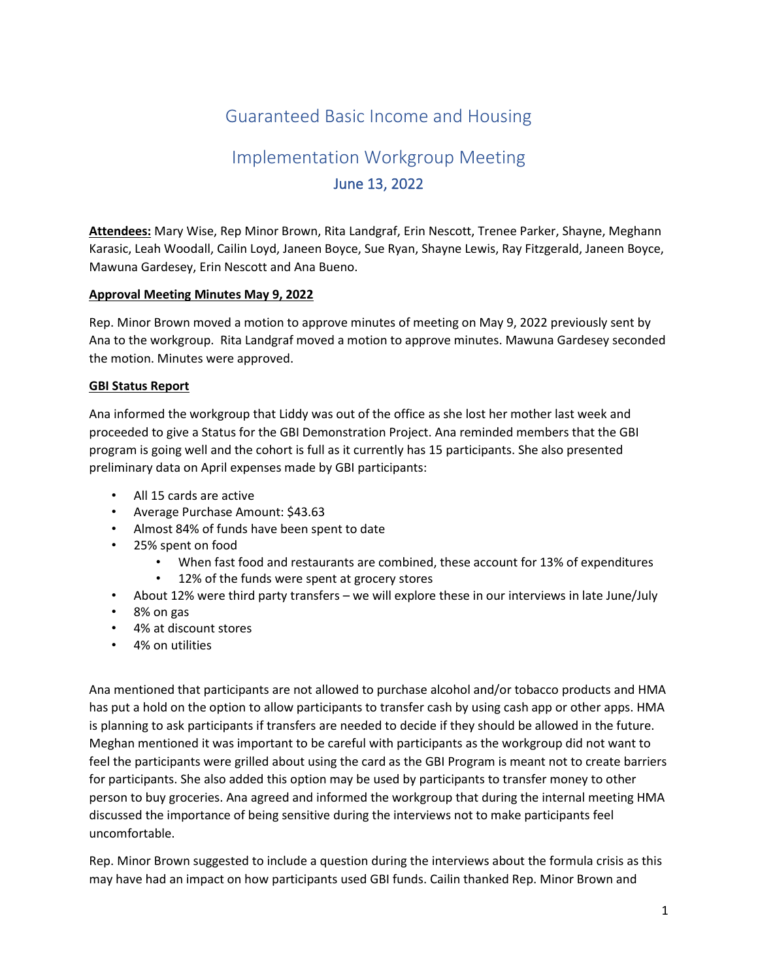# Guaranteed Basic Income and Housing

# Implementation Workgroup Meeting June 13, 2022

**Attendees:** Mary Wise, Rep Minor Brown, Rita Landgraf, Erin Nescott, Trenee Parker, Shayne, Meghann Karasic, Leah Woodall, Cailin Loyd, Janeen Boyce, Sue Ryan, Shayne Lewis, Ray Fitzgerald, Janeen Boyce, Mawuna Gardesey, Erin Nescott and Ana Bueno.

#### **Approval Meeting Minutes May 9, 2022**

Rep. Minor Brown moved a motion to approve minutes of meeting on May 9, 2022 previously sent by Ana to the workgroup. Rita Landgraf moved a motion to approve minutes. Mawuna Gardesey seconded the motion. Minutes were approved.

## **GBI Status Report**

Ana informed the workgroup that Liddy was out of the office as she lost her mother last week and proceeded to give a Status for the GBI Demonstration Project. Ana reminded members that the GBI program is going well and the cohort is full as it currently has 15 participants. She also presented preliminary data on April expenses made by GBI participants:

- All 15 cards are active
- Average Purchase Amount: \$43.63
- Almost 84% of funds have been spent to date
- 25% spent on food
	- When fast food and restaurants are combined, these account for 13% of expenditures
	- 12% of the funds were spent at grocery stores
- About 12% were third party transfers we will explore these in our interviews in late June/July
- 8% on gas
- 4% at discount stores
- 4% on utilities

Ana mentioned that participants are not allowed to purchase alcohol and/or tobacco products and HMA has put a hold on the option to allow participants to transfer cash by using cash app or other apps. HMA is planning to ask participants if transfers are needed to decide if they should be allowed in the future. Meghan mentioned it was important to be careful with participants as the workgroup did not want to feel the participants were grilled about using the card as the GBI Program is meant not to create barriers for participants. She also added this option may be used by participants to transfer money to other person to buy groceries. Ana agreed and informed the workgroup that during the internal meeting HMA discussed the importance of being sensitive during the interviews not to make participants feel uncomfortable.

Rep. Minor Brown suggested to include a question during the interviews about the formula crisis as this may have had an impact on how participants used GBI funds. Cailin thanked Rep. Minor Brown and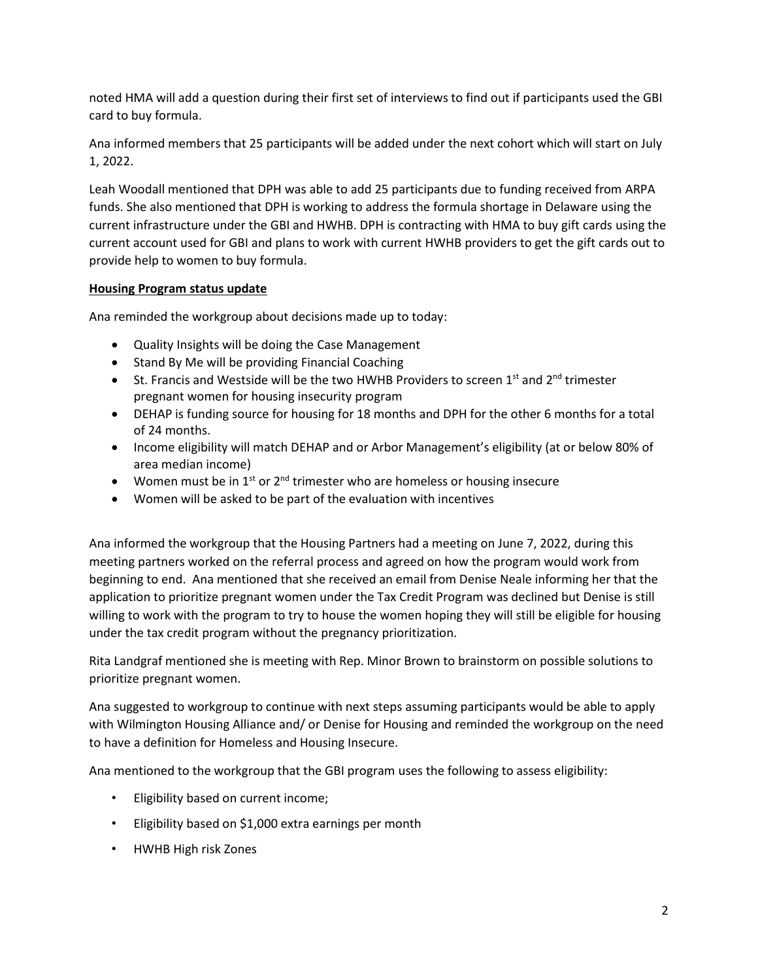noted HMA will add a question during their first set of interviews to find out if participants used the GBI card to buy formula.

Ana informed members that 25 participants will be added under the next cohort which will start on July 1, 2022.

Leah Woodall mentioned that DPH was able to add 25 participants due to funding received from ARPA funds. She also mentioned that DPH is working to address the formula shortage in Delaware using the current infrastructure under the GBI and HWHB. DPH is contracting with HMA to buy gift cards using the current account used for GBI and plans to work with current HWHB providers to get the gift cards out to provide help to women to buy formula.

## **Housing Program status update**

Ana reminded the workgroup about decisions made up to today:

- Quality Insights will be doing the Case Management
- Stand By Me will be providing Financial Coaching
- St. Francis and Westside will be the two HWHB Providers to screen  $1^{st}$  and  $2^{nd}$  trimester pregnant women for housing insecurity program
- DEHAP is funding source for housing for 18 months and DPH for the other 6 months for a total of 24 months.
- Income eligibility will match DEHAP and or Arbor Management's eligibility (at or below 80% of area median income)
- Women must be in  $1^{st}$  or  $2^{nd}$  trimester who are homeless or housing insecure
- Women will be asked to be part of the evaluation with incentives

Ana informed the workgroup that the Housing Partners had a meeting on June 7, 2022, during this meeting partners worked on the referral process and agreed on how the program would work from beginning to end. Ana mentioned that she received an email from Denise Neale informing her that the application to prioritize pregnant women under the Tax Credit Program was declined but Denise is still willing to work with the program to try to house the women hoping they will still be eligible for housing under the tax credit program without the pregnancy prioritization.

Rita Landgraf mentioned she is meeting with Rep. Minor Brown to brainstorm on possible solutions to prioritize pregnant women.

Ana suggested to workgroup to continue with next steps assuming participants would be able to apply with Wilmington Housing Alliance and/ or Denise for Housing and reminded the workgroup on the need to have a definition for Homeless and Housing Insecure.

Ana mentioned to the workgroup that the GBI program uses the following to assess eligibility:

- Eligibility based on current income;
- Eligibility based on \$1,000 extra earnings per month
- HWHB High risk Zones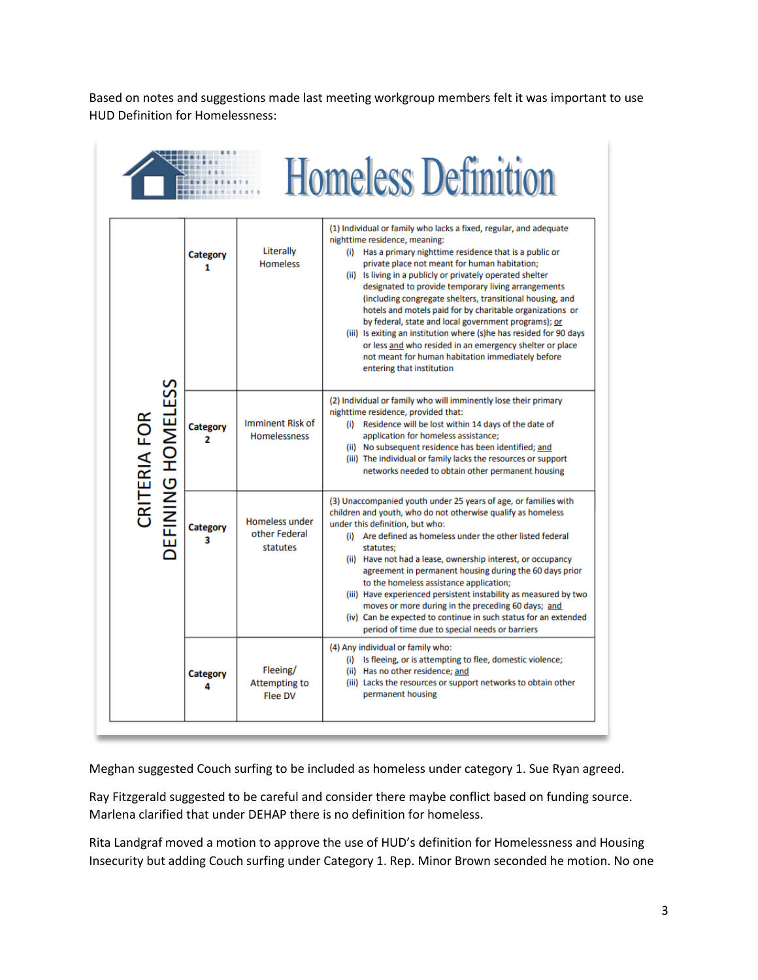Based on notes and suggestions made last meeting workgroup members felt it was important to use HUD Definition for Homelessness:

|                                   |                      |                                                    | <b>Homeless Definition</b><br>(1) Individual or family who lacks a fixed, regular, and adequate                                                                                                                                                                                                                                                                                                                                                                                                                                                                                                                                                                         |
|-----------------------------------|----------------------|----------------------------------------------------|-------------------------------------------------------------------------------------------------------------------------------------------------------------------------------------------------------------------------------------------------------------------------------------------------------------------------------------------------------------------------------------------------------------------------------------------------------------------------------------------------------------------------------------------------------------------------------------------------------------------------------------------------------------------------|
|                                   | <b>Category</b><br>1 | Literally<br><b>Homeless</b>                       | nighttime residence, meaning:<br>(i) Has a primary nighttime residence that is a public or<br>private place not meant for human habitation;<br>(ii) Is living in a publicly or privately operated shelter<br>designated to provide temporary living arrangements<br>(including congregate shelters, transitional housing, and<br>hotels and motels paid for by charitable organizations or<br>by federal, state and local government programs); or<br>(iii) Is exiting an institution where (s)he has resided for 90 days<br>or less and who resided in an emergency shelter or place<br>not meant for human habitation immediately before<br>entering that institution |
| CRITERIA FOR<br>DEFINING HOMELESS | <b>Category</b><br>2 | <b>Imminent Risk of</b><br><b>Homelessness</b>     | (2) Individual or family who will imminently lose their primary<br>nighttime residence, provided that:<br>(i) Residence will be lost within 14 days of the date of<br>application for homeless assistance;<br>(ii) No subsequent residence has been identified; and<br>(iii) The individual or family lacks the resources or support<br>networks needed to obtain other permanent housing                                                                                                                                                                                                                                                                               |
|                                   | <b>Category</b><br>з | <b>Homeless under</b><br>other Federal<br>statutes | (3) Unaccompanied youth under 25 years of age, or families with<br>children and youth, who do not otherwise qualify as homeless<br>under this definition, but who:<br>(i) Are defined as homeless under the other listed federal<br>statutes:<br>(ii) Have not had a lease, ownership interest, or occupancy<br>agreement in permanent housing during the 60 days prior<br>to the homeless assistance application;<br>(iii) Have experienced persistent instability as measured by two<br>moves or more during in the preceding 60 days; and<br>(iv) Can be expected to continue in such status for an extended<br>period of time due to special needs or barriers      |
|                                   | <b>Category</b><br>4 | Fleeing/<br><b>Attempting to</b><br>Flee DV        | (4) Any individual or family who:<br>(i) Is fleeing, or is attempting to flee, domestic violence;<br>(ii) Has no other residence; and<br>(iii) Lacks the resources or support networks to obtain other<br>permanent housing                                                                                                                                                                                                                                                                                                                                                                                                                                             |

Meghan suggested Couch surfing to be included as homeless under category 1. Sue Ryan agreed.

Ray Fitzgerald suggested to be careful and consider there maybe conflict based on funding source. Marlena clarified that under DEHAP there is no definition for homeless.

Rita Landgraf moved a motion to approve the use of HUD's definition for Homelessness and Housing Insecurity but adding Couch surfing under Category 1. Rep. Minor Brown seconded he motion. No one